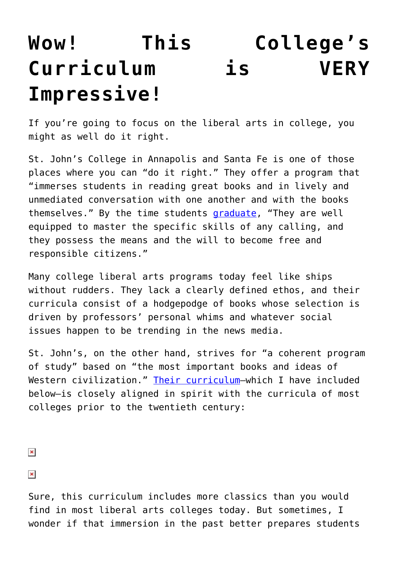## **[Wow! This College's](https://intellectualtakeout.org/2015/12/wow-this-colleges-curriculum-is-very-impressive/) [Curriculum is VERY](https://intellectualtakeout.org/2015/12/wow-this-colleges-curriculum-is-very-impressive/) [Impressive!](https://intellectualtakeout.org/2015/12/wow-this-colleges-curriculum-is-very-impressive/)**

If you're going to focus on the liberal arts in college, you might as well do it right.

St. John's College in Annapolis and Santa Fe is one of those places where you can "do it right." They offer a program that "immerses students in reading great books and in lively and unmediated conversation with one another and with the books themselves." By the time students [graduate,](http://www.sjc.edu/files/5514/4373/7743/SJC_ProgStatement_15_16.pdf) "They are well equipped to master the specific skills of any calling, and they possess the means and the will to become free and responsible citizens."

Many college liberal arts programs today feel like ships without rudders. They lack a clearly defined ethos, and their curricula consist of a hodgepodge of books whose selection is driven by professors' personal whims and whatever social issues happen to be trending in the news media.

St. John's, on the other hand, strives for "a coherent program of study" based on "the most important books and ideas of Western civilization." [Their curriculum](http://www.sjc.edu/academic-programs/undergraduate/liberal-arts/)—which I have included below—is closely aligned in spirit with the curricula of most colleges prior to the twentieth century:

 $\pmb{\times}$ 

 $\pmb{\times}$ 

Sure, this curriculum includes more classics than you would find in most liberal arts colleges today. But sometimes, I wonder if that immersion in the past better prepares students